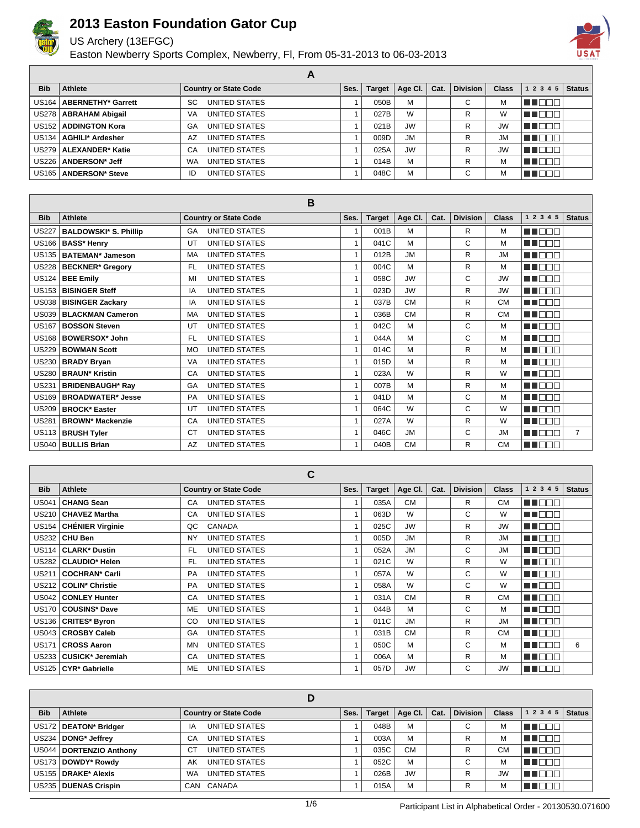

US Archery (13EFGC)

Easton Newberry Sports Complex, Newberry, Fl, From 05-31-2013 to 06-03-2013



| <b>Bib</b> | Athlete                    | <b>Country or State Code</b> | Ses. | <b>Target</b> | Age CI.   | Cat. | <b>Division</b> | <b>Class</b> | 1 2 3 4 5 | <b>Status</b> |
|------------|----------------------------|------------------------------|------|---------------|-----------|------|-----------------|--------------|-----------|---------------|
|            | US164   ABERNETHY* Garrett | UNITED STATES<br>SC          |      | 050B          | M         |      | С               | м            |           |               |
|            | US278   ABRAHAM Abigail    | UNITED STATES<br>VA          |      | 027B          | W         |      | R               | W            |           |               |
|            | US152   ADDINGTON Kora     | UNITED STATES<br>GA          |      | 021B          | <b>JW</b> |      | R               | <b>JW</b>    |           |               |
|            | US134   AGHILI* Ardesher   | UNITED STATES<br>A7          |      | 009D          | <b>JM</b> |      | R               | <b>JM</b>    |           |               |
|            | US279   ALEXANDER* Katie   | UNITED STATES<br>CA          |      | 025A          | <b>JW</b> |      | R               | <b>JW</b>    |           |               |
|            | US226   ANDERSON* Jeff     | UNITED STATES<br><b>WA</b>   |      | 014B          | M         |      | R               | M            | u Lot     |               |
|            | US165   ANDERSON* Steve    | UNITED STATES<br>ID          |      | 048C          | M         |      | $\sim$<br>U     | м            |           |               |

**A**

|              |                              | B                                 |              |               |           |      |                 |              |               |                |
|--------------|------------------------------|-----------------------------------|--------------|---------------|-----------|------|-----------------|--------------|---------------|----------------|
| <b>Bib</b>   | <b>Athlete</b>               | <b>Country or State Code</b>      | Ses.         | <b>Target</b> | Age CI.   | Cat. | <b>Division</b> | <b>Class</b> | 1 2 3 4 5     | <b>Status</b>  |
| <b>US227</b> | <b>BALDOWSKI* S. Phillip</b> | <b>UNITED STATES</b><br>GA        | 1            | 001B          | м         |      | R               | м            | N NO DI D     |                |
| <b>US166</b> | <b>BASS* Henry</b>           | <b>UNITED STATES</b><br>UT        | 1            | 041C          | M         |      | C               | м            | n nooc        |                |
| <b>US135</b> | <b>BATEMAN* Jameson</b>      | UNITED STATES<br>MA               | $\mathbf{1}$ | 012B          | <b>JM</b> |      | R               | <b>JM</b>    | n na na n     |                |
| <b>US228</b> | <b>BECKNER*</b> Gregory      | <b>UNITED STATES</b><br>FL.       | $\mathbf{1}$ | 004C          | M         |      | $\mathsf{R}$    | м            | <b>REDEE</b>  |                |
| <b>US124</b> | <b>BEE Emily</b>             | <b>UNITED STATES</b><br>MI        | 1            | 058C          | <b>JW</b> |      | C               | <b>JW</b>    | man man       |                |
| <b>US153</b> | <b>BISINGER Steff</b>        | <b>UNITED STATES</b><br>IA        | 1            | 023D          | <b>JW</b> |      | $\mathsf{R}$    | <b>JW</b>    | M BE S        |                |
| <b>US038</b> | <b>BISINGER Zackary</b>      | UNITED STATES<br>IA               | 1            | 037B          | <b>CM</b> |      | R               | <b>CM</b>    | MA DEL        |                |
| <b>US039</b> | <b>BLACKMAN Cameron</b>      | <b>UNITED STATES</b><br>MA        | $\mathbf{1}$ | 036B          | <b>CM</b> |      | R               | <b>CM</b>    | man ng m      |                |
| <b>US167</b> | <b>BOSSON Steven</b>         | <b>UNITED STATES</b><br>UT        | $\mathbf{1}$ | 042C          | M         |      | C               | M            | MA NATI       |                |
| <b>US168</b> | <b>BOWERSOX* John</b>        | UNITED STATES<br>FL.              | $\mathbf{1}$ | 044A          | м         |      | C               | м            | man man       |                |
| <b>US229</b> | <b>BOWMAN Scott</b>          | <b>UNITED STATES</b><br>MO        | $\mathbf{1}$ | 014C          | M         |      | R               | M            | ma mmm        |                |
| <b>US230</b> | <b>BRADY Bryan</b>           | <b>UNITED STATES</b><br><b>VA</b> | 1            | 015D          | M         |      | R               | М            | MA DEL        |                |
| <b>US280</b> | <b>BRAUN* Kristin</b>        | <b>UNITED STATES</b><br>CA        | $\mathbf{1}$ | 023A          | W         |      | $\mathsf{R}$    | W            | <b>REFERE</b> |                |
| <b>US231</b> | <b>BRIDENBAUGH* Ray</b>      | <b>UNITED STATES</b><br>GA        | 1            | 007B          | M         |      | R               | м            | man man       |                |
| <b>US169</b> | <b>BROADWATER*</b> Jesse     | <b>UNITED STATES</b><br><b>PA</b> | $\mathbf{1}$ | 041D          | M         |      | C               | м            | n nooc        |                |
| <b>US209</b> | <b>BROCK* Easter</b>         | <b>UNITED STATES</b><br>UT        | $\mathbf{1}$ | 064C          | W         |      | C               | W            | MA E E E      |                |
| <b>US281</b> | <b>BROWN* Mackenzie</b>      | UNITED STATES<br>CA               | $\mathbf{1}$ | 027A          | W         |      | R               | W            | <b>READER</b> |                |
| US113        | <b>BRUSH Tyler</b>           | <b>UNITED STATES</b><br>СT        | $\mathbf{1}$ | 046C          | <b>JM</b> |      | C               | <b>JM</b>    | mana a        | $\overline{7}$ |
| <b>US040</b> | <b>BULLIS Brian</b>          | <b>UNITED STATES</b><br>AZ        | 1            | 040B          | <b>CM</b> |      | R               | <b>CM</b>    | n den         |                |

|              |                         | C                            |      |               |           |      |                 |              |              |               |
|--------------|-------------------------|------------------------------|------|---------------|-----------|------|-----------------|--------------|--------------|---------------|
| <b>Bib</b>   | Athlete                 | <b>Country or State Code</b> | Ses. | <b>Target</b> | Age Cl.   | Cat. | <b>Division</b> | <b>Class</b> | 1 2 3 4 5    | <b>Status</b> |
| <b>US041</b> | <b>CHANG Sean</b>       | UNITED STATES<br>CA          |      | 035A          | <b>CM</b> |      | R               | <b>CM</b>    | T FITT       |               |
| <b>US210</b> | <b>CHAVEZ Martha</b>    | UNITED STATES<br>CA          |      | 063D          | W         |      | C               | W            | n na m       |               |
| US154        | <b>CHÉNIER Virginie</b> | QC<br>CANADA                 |      | 025C          | <b>JW</b> |      | R               | <b>JW</b>    | n din s      |               |
| US232        | <b>CHU Ben</b>          | <b>UNITED STATES</b><br>NY   |      | 005D          | <b>JM</b> |      | R               | <b>JM</b>    | <b>TELET</b> |               |
| US114        | <b>CLARK* Dustin</b>    | UNITED STATES<br><b>FL</b>   |      | 052A          | <b>JM</b> |      | C               | <b>JM</b>    | T F          |               |
| US282        | <b>CLAUDIO* Helen</b>   | UNITED STATES<br>FL.         |      | 021C          | W         |      | R               | W            | TOOL         |               |
| <b>US211</b> | <b>COCHRAN* Carli</b>   | UNITED STATES<br><b>PA</b>   |      | 057A          | W         |      | C               | W            | N I DE L     |               |
| US212        | <b>COLIN* Christie</b>  | UNITED STATES<br><b>PA</b>   |      | 058A          | W         |      | C               | W            | n ni         |               |
| US042        | <b>CONLEY Hunter</b>    | UNITED STATES<br>CA          |      | 031A          | <b>CM</b> |      | R               | <b>CM</b>    | n din k      |               |
| <b>US170</b> | <b>COUSINS* Dave</b>    | UNITED STATES<br>ME          |      | 044B          | М         |      | C               | м            | n n<br>╖     |               |
| US136        | <b>CRITES* Byron</b>    | UNITED STATES<br>CO          |      | 011C          | <b>JM</b> |      | R               | <b>JM</b>    | M DEL        |               |
| US043        | <b>CROSBY Caleb</b>     | <b>UNITED STATES</b><br>GA   |      | 031B          | <b>CM</b> |      | R               | <b>CM</b>    | U N          |               |
| <b>US171</b> | <b>CROSS Aaron</b>      | UNITED STATES<br>MN          |      | 050C          | M         |      | C               | м            | a propinsi P | 6             |
| US233        | <b>CUSICK* Jeremiah</b> | UNITED STATES<br>CA          |      | 006A          | М         |      | R               | м            | a propinsi P |               |
| US125        | <b>CYR* Gabrielle</b>   | <b>ME</b><br>UNITED STATES   |      | 057D          | <b>JW</b> |      | C               | <b>JW</b>    | T DI         |               |

| <b>Bib</b> | Athlete                   | <b>Country or State Code</b> | Ses. | <b>Target</b> | Age CI.   | Cat. | <b>Division</b> | <b>Class</b> | $1\ 2\ 3\ 4\ 5$ Status |  |
|------------|---------------------------|------------------------------|------|---------------|-----------|------|-----------------|--------------|------------------------|--|
|            | US172   DEATON* Bridger   | UNITED STATES<br>ΙA          |      | 048B          | M         |      | С               | М            | TOT<br>a katika M      |  |
|            | US234   DONG* Jeffrey     | UNITED STATES<br>CA          |      | 003A          | M         |      | R               | М            | an mar                 |  |
|            | US044   DORTENZIO Anthony | UNITED STATES<br>СT          |      | 035C          | <b>CM</b> |      | R               | <b>CM</b>    | n oo c                 |  |
|            | US173   DOWDY* Rowdy      | UNITED STATES<br>AK          |      | 052C          | M         |      | С               | М            | חרור                   |  |
|            | US155   DRAKE* Alexis     | UNITED STATES<br>WA          |      | 026B          | <b>JW</b> |      | R               | <b>JW</b>    | n mar                  |  |
|            | US235   DUENAS Crispin    | CAN CANADA                   |      | 015A          | M         |      | R               | М            | U 880 E                |  |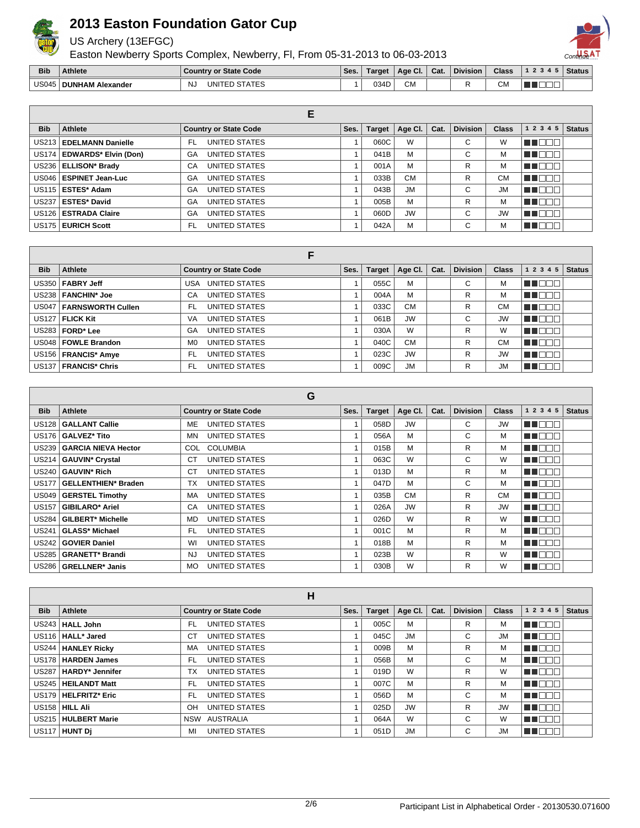

US Archery (13EFGC)

Easton Newberry Sports Complex, Newberry, Fl, From 05-31-2013 to 06-03-2013



| <b>Bib</b>   | Athlete                  | <b>State Code</b><br>Country<br>o      | Ses. | Target       | Age Cl.                    | Cat. | <b>Division</b> | <b>Class</b> | . | <b>Status</b> |
|--------------|--------------------------|----------------------------------------|------|--------------|----------------------------|------|-----------------|--------------|---|---------------|
| <b>US045</b> | HAM<br>DUNI<br>Alexander | NJ.<br>JNI<br>.<br>$\Delta$ I H $\geq$ |      | na i<br>∪ບ+ເ | <b>CM</b><br>$\sim$ $\sim$ |      |                 | ∪M<br>$\sim$ |   |               |

|            |                              | E                            |      |               |           |      |                 |              |              |               |
|------------|------------------------------|------------------------------|------|---------------|-----------|------|-----------------|--------------|--------------|---------------|
| <b>Bib</b> | Athlete                      | <b>Country or State Code</b> | Ses. | <b>Target</b> | Age Cl.   | Cat. | <b>Division</b> | <b>Class</b> | 1 2 3 4 5    | <b>Status</b> |
|            | US213   EDELMANN Danielle    | UNITED STATES<br>FL          |      | 060C          | W         |      | С               | W            | TEOL         |               |
|            | US174   EDWARDS* Elvin (Don) | UNITED STATES<br>GA          |      | 041B          | M         |      | С               | М            | n Ol<br>- II |               |
|            | US236   ELLISON* Brady       | UNITED STATES<br>CA          |      | 001A          | M         |      | R               | м            | TEE          |               |
|            | US046   ESPINET Jean-Luc     | UNITED STATES<br>GA          |      | 033B          | <b>CM</b> |      | R               | <b>CM</b>    | TEN          |               |
|            | US115   ESTES* Adam          | UNITED STATES<br>GA          |      | 043B          | <b>JM</b> |      | С               | <b>JM</b>    | Пſ<br>T DI   |               |
|            | US237   ESTES* David         | UNITED STATES<br>GA          |      | 005B          | M         |      | R               | М            | T O<br>- II  |               |
|            | US126   ESTRADA Claire       | UNITED STATES<br>GA          |      | 060D          | <b>JW</b> |      | С               | <b>JW</b>    | T O          |               |
|            | US175   EURICH Scott         | UNITED STATES<br>FL.         |      | 042A          | M         |      | С               | м            |              |               |

| <b>Bib</b> | Athlete                   | <b>Country or State Code</b>    | Ses. | <b>Target</b> | Age Cl.   | Cat. | <b>Division</b> | <b>Class</b> | 12345           | <b>Status</b> |
|------------|---------------------------|---------------------------------|------|---------------|-----------|------|-----------------|--------------|-----------------|---------------|
|            | US350   FABRY Jeff        | UNITED STATES<br>USA            |      | 055C          | м         |      | C               | М            | THEED           |               |
|            | US238   FANCHIN* Joe      | UNITED STATES<br>CA             |      | 004A          | M         |      | R               | М            | T E E E         |               |
|            | US047   FARNSWORTH Cullen | UNITED STATES<br>FL.            |      | 033C          | <b>CM</b> |      | R               | <b>CM</b>    | T FEE           |               |
|            | US127   FLICK Kit         | UNITED STATES<br>VA             |      | 061B          | <b>JW</b> |      | C               | <b>JW</b>    | THE EN          |               |
|            | $US283$ FORD* Lee         | UNITED STATES<br>GA             |      | 030A          | W         |      | R               | W            | <b>VE</b> DOO : |               |
|            | US048   FOWLE Brandon     | UNITED STATES<br>M <sub>0</sub> |      | 040C          | <b>CM</b> |      | R               | <b>CM</b>    | THEEL           |               |
|            | US156   FRANCIS* Amye     | UNITED STATES<br>FL             |      | 023C          | <b>JW</b> |      | R               | <b>JW</b>    | THE EL          |               |
|            | US137   FRANCIS* Chris    | UNITED STATES<br>FL             |      | 009C          | <b>JM</b> |      | R               | <b>JM</b>    | N E E E         |               |

 $\sim$ 

|            |                                     | u                            |      |               |           |      |                 |              |           |               |
|------------|-------------------------------------|------------------------------|------|---------------|-----------|------|-----------------|--------------|-----------|---------------|
| <b>Bib</b> | Athlete                             | <b>Country or State Code</b> | Ses. | <b>Target</b> | Age Cl.   | Cat. | <b>Division</b> | <b>Class</b> | 1 2 3 4 5 | <b>Status</b> |
|            | US128   GALLANT Callie              | UNITED STATES<br>ME          |      | 058D          | <b>JW</b> |      | C               | <b>JW</b>    | ma mata   |               |
|            | US176 <b>  GALVEZ* Tito</b>         | UNITED STATES<br>MN.         |      | 056A          | M         |      | C               | м            | MA BEL    |               |
|            | US239   GARCIA NIEVA Hector         | <b>COLUMBIA</b><br>COL       |      | 015B          | M         |      | R               | м            | ME E E E  |               |
|            | US214   GAUVIN <sup>*</sup> Crystal | UNITED STATES<br>СT          |      | 063C          | W         |      | C               | W            | MA DO D   |               |
|            | US240   GAUVIN* Rich                | UNITED STATES<br>СT          |      | 013D          | M         |      | R               | м            | M DE B    |               |
|            | US177   GELLENTHIEN* Braden         | UNITED STATES<br>ТX          |      | 047D          | М         |      | C               | м            | MU O O O  |               |
|            | US049   GERSTEL Timothy             | UNITED STATES<br>MA          |      | 035B          | <b>CM</b> |      | R               | <b>CM</b>    | MI OO B   |               |
| US157      | <b>GIBILARO* Ariel</b>              | UNITED STATES<br>CA          |      | 026A          | <b>JW</b> |      | R               | <b>JW</b>    | MU DO B   |               |
| US284 l    | <b>GILBERT* Michelle</b>            | UNITED STATES<br>MD          |      | 026D          | W         |      | R               | W            | MN DE O   |               |
| US241      | GLASS* Michael                      | UNITED STATES<br>FL          |      | 001C          | M         |      | R               | M            | ma man    |               |
|            | US242   GOVIER Daniel               | UNITED STATES<br>WI          |      | 018B          | М         |      | R               | м            | MA E E E  |               |
| US285 I    | <b>GRANETT* Brandi</b>              | UNITED STATES<br>NJ          |      | 023B          | W         |      | R               | W            | ME OO S   |               |
|            | US286 GRELLNER* Janis               | UNITED STATES<br><b>MO</b>   |      | 030B          | W         |      | R               | W            | M DOO     |               |

|            |                         | н                            |      |        |           |      |                 |              |              |               |
|------------|-------------------------|------------------------------|------|--------|-----------|------|-----------------|--------------|--------------|---------------|
| <b>Bib</b> | Athlete                 | <b>Country or State Code</b> | Ses. | Target | Age Cl.   | Cat. | <b>Division</b> | <b>Class</b> | 1 2 3 4 5    | <b>Status</b> |
|            | US243   HALL John       | UNITED STATES<br>FL.         |      | 005C   | м         |      | R               | м            | MN 888       |               |
|            | US116   HALL* Jared     | UNITED STATES<br>СT          |      | 045C   | <b>JM</b> |      | C               | <b>JM</b>    | <b>VEDDE</b> |               |
|            | US244   HANLEY Ricky    | UNITED STATES<br>MA          |      | 009B   | м         |      | R               | м            | MT DE E      |               |
|            | US178   HARDEN James    | UNITED STATES<br>FL.         |      | 056B   | м         |      | C               | м            | MN OO O      |               |
|            | US287   HARDY* Jennifer | UNITED STATES<br>TX          |      | 019D   | W         |      | R               | W            | MN DE EI     |               |
|            | US245   HEILANDT Matt   | UNITED STATES<br>FL.         |      | 007C   | м         |      | R               | м            | <b>REDEE</b> |               |
|            | US179   HELFRITZ* Eric  | UNITED STATES<br>FL.         |      | 056D   | М         |      | С               | м            | man man      |               |
|            | $US158$ HILL Ali        | UNITED STATES<br>OH          |      | 025D   | <b>JW</b> |      | R               | <b>JW</b>    | MN OO O      |               |
|            | US215   HULBERT Marie   | AUSTRALIA<br>NSW             |      | 064A   | W         |      | C               | W            | MN DE EI     |               |
|            | US117 HUNT Di           | UNITED STATES<br>МI          |      | 051D   | <b>JM</b> |      | C               | <b>JM</b>    | MU DO O      |               |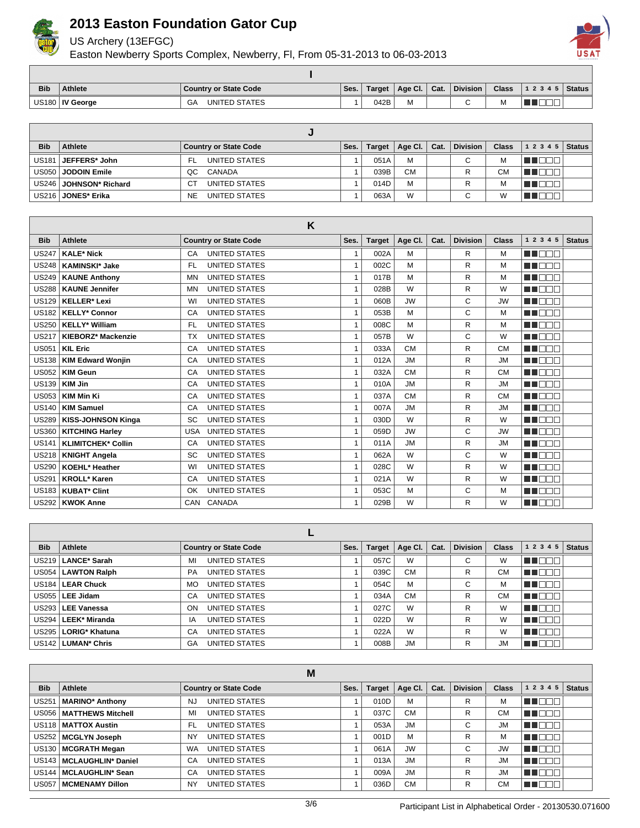

US Archery (13EFGC)

Easton Newberry Sports Complex, Newberry, Fl, From 05-31-2013 to 06-03-2013



| <b>Bib</b> | <b>Athlete</b>    | Country or State Code      | Ses. | <b>Target</b> | Age Cl. $ $ | Cat. | <b>Division</b> | <b>Class</b> | 12345 | Status |
|------------|-------------------|----------------------------|------|---------------|-------------|------|-----------------|--------------|-------|--------|
|            | US180   IV George | <b>UNITED STATES</b><br>GA |      | 042B          | IVI         |      | ∼               | м            |       |        |

| <b>Bib</b> | Athlete                  | <b>Country or State Code</b> | Ses. | <b>Target</b> | Age Cl. $\vert$ | Cat. | <b>Division</b> | <b>Class</b> | $1\ 2\ 3\ 4\ 5$ Status |  |
|------------|--------------------------|------------------------------|------|---------------|-----------------|------|-----------------|--------------|------------------------|--|
|            | US181   JEFFERS* John    | UNITED STATES<br>FL.         |      | 051A          | м               |      | С               | М            | TITT T                 |  |
|            | US050 JODOIN Emile       | CANADA<br>OC                 |      | 039B          | <b>CM</b>       |      | R               | СM           | .                      |  |
|            | US246   JOHNSON* Richard | UNITED STATES<br>CT.         |      | 014D          | м               |      | R               | М            | n de l                 |  |
|            | US216   JONES* Erika     | UNITED STATES<br><b>NE</b>   |      | 063A          | W               |      | $\sim$          | W            |                        |  |

|                   |                           | K                                 |      |               |           |      |                 |              |                         |               |
|-------------------|---------------------------|-----------------------------------|------|---------------|-----------|------|-----------------|--------------|-------------------------|---------------|
| <b>Bib</b>        | <b>Athlete</b>            | <b>Country or State Code</b>      | Ses. | <b>Target</b> | Age CI.   | Cat. | <b>Division</b> | <b>Class</b> | 1 2 3 4 5               | <b>Status</b> |
| <b>US247</b>      | <b>KALE* Nick</b>         | UNITED STATES<br>CA               |      | 002A          | M         |      | R               | M            | ma mar                  |               |
| <b>US248</b>      | <b>KAMINSKI* Jake</b>     | <b>UNITED STATES</b><br>FL.       |      | 002C          | M         |      | R               | M            | <b>RENDER</b>           |               |
| US249             | <b>KAUNE Anthony</b>      | <b>UNITED STATES</b><br><b>MN</b> | 1    | 017B          | M         |      | R               | M            | an an an                |               |
| <b>US288</b>      | <b>KAUNE Jennifer</b>     | <b>UNITED STATES</b><br>MN        | 1    | 028B          | W         |      | R               | W            | HE E E E E              |               |
| US <sub>129</sub> | <b>KELLER* Lexi</b>       | <b>UNITED STATES</b><br>WI        |      | 060B          | <b>JW</b> |      | C               | <b>JW</b>    | man man                 |               |
| <b>US182</b>      | <b>KELLY* Connor</b>      | <b>UNITED STATES</b><br>CA        | 1    | 053B          | M         |      | C               | M            | n na m                  |               |
| US250             | <b>KELLY* William</b>     | <b>UNITED STATES</b><br>FL.       | 1    | 008C          | M         |      | R               | M            | M BER                   |               |
| <b>US217</b>      | KIEBORZ* Mackenzie        | <b>UNITED STATES</b><br>ТX        | 1    | 057B          | W         |      | C               | W            | HE E E E                |               |
| <b>US051</b>      | <b>KIL Eric</b>           | <b>UNITED STATES</b><br>CA        | 1    | 033A          | <b>CM</b> |      | R.              | <b>CM</b>    | MA MARIT                |               |
| <b>US138</b>      | <b>KIM Edward Wonjin</b>  | <b>UNITED STATES</b><br>CA        | 1    | 012A          | <b>JM</b> |      | R               | <b>JM</b>    | M BEE                   |               |
| <b>US052</b>      | <b>KIM Geun</b>           | <b>UNITED STATES</b><br>CA        | 1    | 032A          | <b>CM</b> |      | R               | <b>CM</b>    | ME E E E                |               |
| <b>US139</b>      | <b>KIM Jin</b>            | <b>UNITED STATES</b><br>CA        | 1    | 010A          | <b>JM</b> |      | R               | <b>JM</b>    | MA DELL'IN              |               |
| <b>US053</b>      | <b>KIM Min Ki</b>         | <b>UNITED STATES</b><br>CA        |      | 037A          | <b>CM</b> |      | R               | <b>CM</b>    | n i Nobel               |               |
| <b>US140</b>      | <b>KIM Samuel</b>         | <b>UNITED STATES</b><br>CA        | 1    | 007A          | <b>JM</b> |      | R               | <b>JM</b>    | ma man                  |               |
| <b>US289</b>      | <b>KISS-JOHNSON Kinga</b> | <b>UNITED STATES</b><br>SC        | 1    | 030D          | W         |      | R               | W            | an an an                |               |
| <b>US360</b>      | <b>KITCHING Harley</b>    | UNITED STATES<br><b>USA</b>       | 1    | 059D          | <b>JW</b> |      | С               | <b>JW</b>    | MN 888                  |               |
| <b>US141</b>      | <b>KLIMITCHEK* Collin</b> | <b>UNITED STATES</b><br>CA        | 1    | 011A          | <b>JM</b> |      | R               | <b>JM</b>    | <b>RADIO DE LA PERS</b> |               |
| <b>US218</b>      | <b>KNIGHT Angela</b>      | <b>UNITED STATES</b><br>SC        |      | 062A          | W         |      | C               | W            | M DE S                  |               |
| <b>US290</b>      | <b>KOEHL* Heather</b>     | <b>UNITED STATES</b><br>WI        |      | 028C          | W         |      | R               | W            | n de la co              |               |
| <b>US291</b>      | <b>KROLL* Karen</b>       | <b>UNITED STATES</b><br>CA        |      | 021A          | W         |      | R               | W            | ME E E E                |               |
| <b>US183</b>      | <b>KUBAT* Clint</b>       | <b>UNITED STATES</b><br>OK        | 1    | 053C          | M         |      | C               | м            | man man                 |               |
| US292             | <b>KWOK Anne</b>          | CANADA<br>CAN                     | 1    | 029B          | W         |      | R               | W            | M OO B                  |               |

| <b>Bib</b> | <b>Athlete</b>                   | <b>Country or State Code</b> | Ses. | <b>Target</b> | Age Cl. $ $ | Cat. | <b>Division</b> | <b>Class</b> | 1 2 3 4 5 | <b>Status</b> |
|------------|----------------------------------|------------------------------|------|---------------|-------------|------|-----------------|--------------|-----------|---------------|
|            | US219   LANCE* Sarah             | UNITED STATES<br>МI          |      | 057C          | W           |      | C               | W            |           |               |
|            | US054   LAWTON Ralph             | UNITED STATES<br><b>PA</b>   |      | 039C          | <b>CM</b>   |      | R               | CМ           | TELET     |               |
|            | US184   LEAR Chuck               | UNITED STATES<br><b>MO</b>   |      | 054C          | М           |      | C               | м            | TE ELET   |               |
|            | US055   LEE Jidam                | UNITED STATES<br>CA          |      | 034A          | <b>CM</b>   |      | R               | <b>CM</b>    | TOOT      |               |
|            | US293   LEE Vanessa              | UNITED STATES<br>ON          |      | 027C          | W           |      | R               | W            | TOOL      |               |
|            | US294   LEEK* Miranda            | UNITED STATES<br>ΙA          |      | 022D          | W           |      | R               | W            |           |               |
|            | US295   LORIG* Khatuna           | UNITED STATES<br>CA          |      | 022A          | W           |      | R               | W            |           |               |
|            | US142   LUMAN <sup>*</sup> Chris | UNITED STATES<br>GA          |      | 008B          | <b>JM</b>   |      | R               | <b>JM</b>    |           |               |

|              |                            | M                            |      |               |           |      |                 |              |              |               |
|--------------|----------------------------|------------------------------|------|---------------|-----------|------|-----------------|--------------|--------------|---------------|
| <b>Bib</b>   | Athlete                    | <b>Country or State Code</b> | Ses. | <b>Target</b> | Age CI.   | Cat. | <b>Division</b> | <b>Class</b> | 1 2 3 4 5    | <b>Status</b> |
| <b>US251</b> | <b>MARINO* Anthony</b>     | <b>UNITED STATES</b><br>NJ   |      | 010D          | M         |      | R               | м            | TEEL<br>- II |               |
|              | US056   MATTHEWS Mitchell  | UNITED STATES<br>MI          |      | 037C          | <b>CM</b> |      | R               | <b>CM</b>    | TEEE         |               |
|              | US118   MATTOX Austin      | UNITED STATES<br>FL          |      | 053A          | <b>JM</b> |      | С               | <b>JM</b>    | MA DE C      |               |
|              | US252   MCGLYN Joseph      | UNITED STATES<br>NY          |      | 001D          | м         |      | R               | м            | TEEE         |               |
|              | US130   MCGRATH Megan      | UNITED STATES<br><b>WA</b>   |      | 061A          | <b>JW</b> |      | С               | <b>JW</b>    | M DE S       |               |
|              | US143   MCLAUGHLIN* Daniel | UNITED STATES<br>CA          |      | 013A          | <b>JM</b> |      | R               | <b>JM</b>    | N S S S S    |               |
|              | US144   MCLAUGHLIN* Sean   | UNITED STATES<br>CA          |      | 009A          | <b>JM</b> |      | R               | <b>JM</b>    | MI OO B      |               |
|              | US057   MCMENAMY Dillon    | UNITED STATES<br>NY          |      | 036D          | <b>CM</b> |      | R               | <b>CM</b>    | T O<br>┓╓    |               |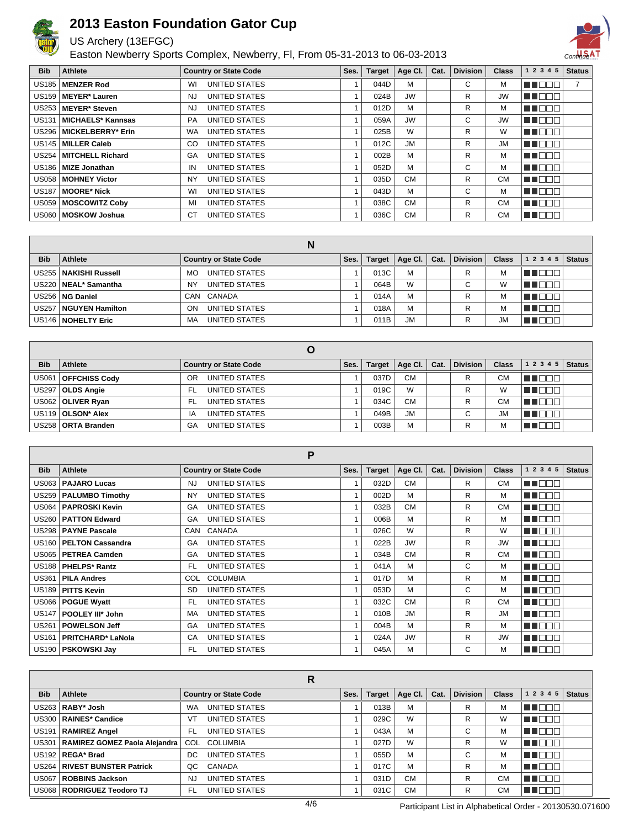

### US Archery (13EFGC)

Easton Newberry Sports Complex, Newberry, Fl, From 05-31-2013 to 06-03-2013



| <b>Bib</b> | Athlete                   | <b>Country or State Code</b> | Ses. | <b>Target</b> | Age Cl. $\vert$ | Cat. | <b>Division</b> | <b>Class</b> | 1 2 3 4 5              | <b>Status</b> |
|------------|---------------------------|------------------------------|------|---------------|-----------------|------|-----------------|--------------|------------------------|---------------|
|            | US185   MENZER Rod        | UNITED STATES<br>WI          |      | 044D          | M               |      | С               | м            | n di                   |               |
|            | US159   MEYER* Lauren     | UNITED STATES<br>NJ          |      | 024B          | <b>JW</b>       |      | R               | <b>JW</b>    | $\Box\Box\Box$<br>- II |               |
|            | US253   MEYER* Steven     | UNITED STATES<br>NJ          |      | 012D          | M               |      | R               | м            | n in Biblio            |               |
|            | US131   MICHAELS* Kannsas | UNITED STATES<br><b>PA</b>   |      | 059A          | <b>JW</b>       |      | С               | <b>JW</b>    | MA DE E                |               |
|            | US296   MICKELBERRY* Erin | UNITED STATES<br>WA.         |      | 025B          | W               |      | R.              | W            | NN OO V                |               |
|            | US145   MILLER Caleb      | UNITED STATES<br>CO.         |      | 012C          | <b>JM</b>       |      | R.              | <b>JM</b>    | MU DE B                |               |
|            | US254   MITCHELL Richard  | UNITED STATES<br>GA          |      | 002B          | M               |      | R               | м            | N N D D U              |               |
|            | US186   MIZE Jonathan     | UNITED STATES<br>IN          |      | 052D          | M               |      | С               | м            | ME DEL                 |               |
|            | US058   MOHNEY Victor     | UNITED STATES<br><b>NY</b>   |      | 035D          | <b>CM</b>       |      | R               | <b>CM</b>    | MU O O O               |               |
|            | US187   MOORE* Nick       | UNITED STATES<br>WI          |      | 043D          | M               |      | С               | м            | MN OO O                |               |
|            | US059   MOSCOWITZ Coby    | UNITED STATES<br>MI          |      | 038C          | <b>CM</b>       |      | R               | <b>CM</b>    | NN DE O                |               |
|            | US060   MOSKOW Joshua     | СT<br>UNITED STATES          |      | 036C          | <b>CM</b>       |      | R               | <b>CM</b>    | M B B B                |               |

|            |                         | N                            |      |               |                 |      |                 |              |                  |  |
|------------|-------------------------|------------------------------|------|---------------|-----------------|------|-----------------|--------------|------------------|--|
| <b>Bib</b> | Athlete                 | <b>Country or State Code</b> | Ses. | <b>Target</b> | Age Cl. $\vert$ | Cat. | <b>Division</b> | <b>Class</b> | 1 2 3 4 5 Status |  |
|            | US255   NAKISHI Russell | UNITED STATES<br>MO          |      | 013C          | M               |      | R               | м            | .                |  |
|            | US220   NEAL* Samantha  | UNITED STATES<br><b>NY</b>   |      | 064B          | W               |      | C               | W            | .                |  |
|            | US256   NG Daniel       | CANADA<br>CAN                |      | 014A          | м               |      | R               | М            | .                |  |
|            | US257   NGUYEN Hamilton | UNITED STATES<br>ON          |      | 018A          | М               |      | R               | м            | .                |  |
|            | US146   NOHELTY Eric    | UNITED STATES<br>MA          |      | 011B          | <b>JM</b>       |      |                 | <b>JM</b>    |                  |  |

| <b>Bib</b> | Athlete               | <b>Country or State Code</b> | Ses. | Target | Age Cl. $\vert$ | Cat. | <b>Division</b> | <b>Class</b> | 12345   | <b>Status</b> |
|------------|-----------------------|------------------------------|------|--------|-----------------|------|-----------------|--------------|---------|---------------|
|            | US061   OFFCHISS Cody | UNITED STATES<br>OR          |      | 037D   | <b>CM</b>       |      | R               | <b>CM</b>    | MN DE O |               |
|            | US297   OLDS Angie    | UNITED STATES<br>- FL        |      | 019C   | W               |      | R               | W            | NN DE E |               |
|            | US062   OLIVER Ryan   | UNITED STATES<br>- FL        |      | 034C   | <b>CM</b>       |      | R               | СM           | n de d  |               |
|            | US119   OLSON* Alex   | UNITED STATES<br>ΙA          |      | 049B   | <b>JM</b>       |      | $\sim$          | JM           | n Toon  |               |
|            | US258   ORTA Branden  | UNITED STATES<br>GA          |      | 003B   | M               |      | R               | М            | H H I   |               |

|              |                          | P                                 |      |               |           |      |                 |              |           |               |
|--------------|--------------------------|-----------------------------------|------|---------------|-----------|------|-----------------|--------------|-----------|---------------|
| <b>Bib</b>   | Athlete                  | <b>Country or State Code</b>      | Ses. | <b>Target</b> | Age CI.   | Cat. | <b>Division</b> | <b>Class</b> | 1 2 3 4 5 | <b>Status</b> |
| <b>US063</b> | <b>PAJARO Lucas</b>      | UNITED STATES<br>NJ.              |      | 032D          | <b>CM</b> |      | R               | <b>CM</b>    | MA E E E  |               |
| US259        | <b>PALUMBO Timothy</b>   | <b>UNITED STATES</b><br><b>NY</b> |      | 002D          | M         |      | R               | м            | MA DE E   |               |
| <b>US064</b> | <b>PAPROSKI Kevin</b>    | <b>UNITED STATES</b><br>GA        |      | 032B          | <b>CM</b> |      | R               | <b>CM</b>    | MN OO B   |               |
|              | US260   PATTON Edward    | UNITED STATES<br>GA               |      | 006B          | М         |      | R               | м            | MN DE B   |               |
|              | US298   PAYNE Pascale    | CANADA<br>CAN                     | 1    | 026C          | W         |      | R               | W            | MA DE E   |               |
| US160        | <b>PELTON Cassandra</b>  | UNITED STATES<br>GA               |      | 022B          | <b>JW</b> |      | R               | <b>JW</b>    | MN O O O  |               |
| <b>US065</b> | <b>PETREA Camden</b>     | UNITED STATES<br>GA               |      | 034B          | <b>CM</b> |      | R               | <b>CM</b>    | MN 888    |               |
|              | US188   PHELPS* Rantz    | UNITED STATES<br>FL.              |      | 041A          | М         |      | C               | M            | M DE B    |               |
|              | US361   PILA Andres      | <b>COLUMBIA</b><br>COL            |      | 017D          | М         |      | R               | м            | MU OO S   |               |
| <b>US189</b> | <b>PITTS Kevin</b>       | UNITED STATES<br><b>SD</b>        | 1    | 053D          | М         |      | C               | м            | MN O O O  |               |
| <b>US066</b> | <b>POGUE Wyatt</b>       | UNITED STATES<br>FL.              | 1    | 032C          | <b>CM</b> |      | R               | <b>CM</b>    | MT OOB    |               |
| <b>US147</b> | POOLEY III* John         | UNITED STATES<br>MA               |      | 010B          | <b>JM</b> |      | R               | <b>JM</b>    | MN 888    |               |
| <b>US261</b> | <b>POWELSON Jeff</b>     | UNITED STATES<br>GA               |      | 004B          | M         |      | R               | M            | MA DE E   |               |
| <b>US161</b> | <b>PRITCHARD* LaNola</b> | UNITED STATES<br>CA               |      | 024A          | <b>JW</b> |      | R               | <b>JW</b>    | M O O O   |               |
|              | US190   PSKOWSKI Jay     | FL.<br>UNITED STATES              |      | 045A          | M         |      | С               | м            | MT OOB    |               |

|              |                                |           | R                            |      |               |           |      |                 |              |                           |               |
|--------------|--------------------------------|-----------|------------------------------|------|---------------|-----------|------|-----------------|--------------|---------------------------|---------------|
| <b>Bib</b>   | <b>Athlete</b>                 |           | <b>Country or State Code</b> | Ses. | <b>Target</b> | Age Cl.   | Cat. | <b>Division</b> | <b>Class</b> | 1 2 3 4 5                 | <b>Status</b> |
|              | US263   RABY* Josh             | <b>WA</b> | UNITED STATES                |      | 013B          | M         |      | R               | M            | T E E E                   |               |
|              | US300   RAINES* Candice        | VT        | <b>UNITED STATES</b>         |      | 029C          | W         |      | R               | W            | under                     |               |
| <b>US191</b> | <b>RAMIREZ Angel</b>           | FL.       | UNITED STATES                |      | 043A          | M         |      | С               | M            | TOOO                      |               |
| <b>US301</b> | RAMIREZ GOMEZ Paola Alejandra  | COL       | <b>COLUMBIA</b>              |      | 027D          | W         |      | R.              | W            | TNT<br>a katika Indonesia |               |
|              | US192 REGA* Brad               | DC.       | UNITED STATES                |      | 055D          | M         |      | С               | М            | חר<br>a katika m          |               |
|              | US264   RIVEST BUNSTER Patrick | OC        | CANADA                       |      | 017C          | M         |      | R               | M            | חר                        |               |
| <b>US067</b> | ROBBINS Jackson                | NJ        | <b>UNITED STATES</b>         |      | 031D          | <b>CM</b> |      | R               | СM           | חרור<br>70 T              |               |
|              | US068   RODRIGUEZ Teodoro TJ   | FL.       | <b>UNITED STATES</b>         |      | 031C          | <b>CM</b> |      | R               | <b>CM</b>    | TOOL                      |               |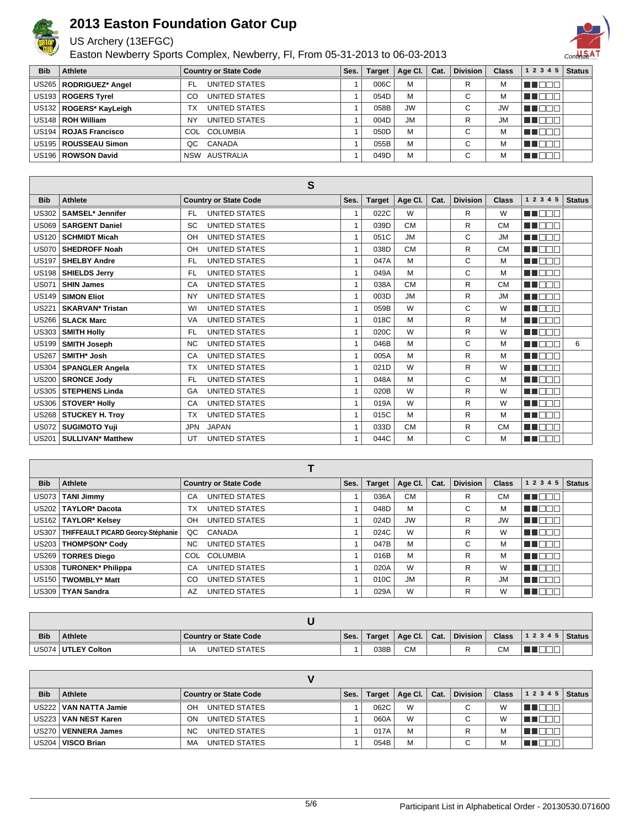

#### US Archery (13EFGC)

Easton Newberry Sports Complex, Newberry, Fl, From 05-31-2013 to 06-03-2013



| <b>Bib</b> | Athlete                  | <b>Country or State Code</b> | Ses. | <b>Target</b> | Age Cl.   | Cat. | Division    | <b>Class</b> | $12345$ Status |  |
|------------|--------------------------|------------------------------|------|---------------|-----------|------|-------------|--------------|----------------|--|
|            | US265   RODRIGUEZ* Angel | UNITED STATES<br>FL          |      | 006C          | M         |      | R           | м            |                |  |
|            | US193   ROGERS Tyrel     | UNITED STATES<br>CO          |      | 054D          | M         |      | С           | М            |                |  |
|            | US132   ROGERS* KayLeigh | UNITED STATES<br>тх          |      | 058B          | <b>JW</b> |      | $\sim$<br>U | <b>JW</b>    | an ito b       |  |
|            | US148   ROH William      | UNITED STATES<br>NY          |      | 004D          | <b>JM</b> |      | R           | <b>JM</b>    |                |  |
|            | US194   ROJAS Francisco  | COLUMBIA<br>COL              |      | 050D          | M         |      | $\sim$      | M            |                |  |
|            | US195   ROUSSEAU Simon   | CANADA<br>QC.                |      | 055B          | M         |      | $\sim$      | М            |                |  |
|            | US196   ROWSON David     | NSW AUSTRALIA                |      | 049D          | M         |      | $\sim$<br>U |              |                |  |

|              |                                     | S                                 |                |               |           |      |                 |              |              |               |
|--------------|-------------------------------------|-----------------------------------|----------------|---------------|-----------|------|-----------------|--------------|--------------|---------------|
| <b>Bib</b>   | <b>Athlete</b>                      | <b>Country or State Code</b>      | Ses.           | <b>Target</b> | Age CI.   | Cat. | <b>Division</b> | <b>Class</b> | 1 2 3 4 5    | <b>Status</b> |
| <b>US302</b> | <b>SAMSEL*</b> Jennifer             | <b>UNITED STATES</b><br><b>FL</b> | $\overline{1}$ | 022C          | W         |      | R               | W            | n na m       |               |
| <b>US069</b> | <b>SARGENT Daniel</b>               | <b>UNITED STATES</b><br>SC        | 1              | 039D          | <b>CM</b> |      | R.              | <b>CM</b>    | ma mar       |               |
| <b>US120</b> | <b>SCHMIDT Micah</b>                | <b>UNITED STATES</b><br>OH        | 1              | 051C          | <b>JM</b> |      | C               | <b>JM</b>    | n in min     |               |
| <b>US070</b> | <b>SHEDROFF Noah</b>                | <b>UNITED STATES</b><br>OH        | 1              | 038D          | <b>CM</b> |      | R               | <b>CM</b>    | MA DELE      |               |
| <b>US197</b> | <b>SHELBY Andre</b>                 | <b>UNITED STATES</b><br><b>FL</b> | $\mathbf{1}$   | 047A          | M         |      | C               | М            | M DE L       |               |
| <b>US198</b> | <b>SHIELDS Jerry</b>                | <b>UNITED STATES</b><br><b>FL</b> | 1              | 049A          | M         |      | C               | М            | ma mar       |               |
| <b>US071</b> | <b>SHIN James</b>                   | <b>UNITED STATES</b><br>CA        | $\overline{1}$ | 038A          | <b>CM</b> |      | R               | <b>CM</b>    | n n n n n    |               |
| <b>US149</b> | <b>SIMON Eliot</b>                  | <b>UNITED STATES</b><br><b>NY</b> | $\overline{1}$ | 003D          | <b>JM</b> |      | R               | <b>JM</b>    | ma mara      |               |
| <b>US221</b> | <b>SKARVAN* Tristan</b>             | <b>UNITED STATES</b><br>WI        | $\mathbf{1}$   | 059B          | W         |      | C               | W            | UN DELT      |               |
| <b>US266</b> | <b>SLACK Marc</b>                   | <b>UNITED STATES</b><br>VA        | $\mathbf{1}$   | 018C          | M         |      | R               | М            | UN DELL'     |               |
| <b>US303</b> | <b>SMITH Holly</b>                  | <b>UNITED STATES</b><br>FL.       | $\overline{1}$ | 020C          | W         |      | R               | W            | MA NAT       |               |
| <b>US199</b> | <b>SMITH Joseph</b>                 | <b>UNITED STATES</b><br><b>NC</b> | 1              | 046B          | M         |      | C               | М            | ma mar       | 6             |
| <b>US267</b> | SMITH* Josh                         | <b>UNITED STATES</b><br>CA        | $\mathbf{1}$   | 005A          | M         |      | R               | М            | n na na n    |               |
| <b>US304</b> | <b>SPANGLER Angela</b>              | <b>UNITED STATES</b><br><b>TX</b> | $\overline{1}$ | 021D          | W         |      | R               | W            | a a mara     |               |
| <b>US200</b> | <b>SRONCE Jody</b>                  | <b>UNITED STATES</b><br><b>FL</b> | $\overline{1}$ | 048A          | M         |      | C               | М            | ma mata      |               |
| <b>US305</b> | <b>STEPHENS Linda</b>               | <b>UNITED STATES</b><br>GA        | $\overline{1}$ | 020B          | W         |      | R.              | W            | <b>RADER</b> |               |
| <b>US306</b> | <b>STOVER* Holly</b>                | <b>UNITED STATES</b><br>CA        | $\mathbf{1}$   | 019A          | W         |      | R               | W            | n n n n n    |               |
| <b>US268</b> | <b>STUCKEY H. Troy</b>              | <b>UNITED STATES</b><br><b>TX</b> | 1              | 015C          | M         |      | R               | М            | <b>HELL</b>  |               |
| <b>US072</b> | <b>SUGIMOTO Yuji</b>                | <b>JAPAN</b><br><b>JPN</b>        | $\overline{1}$ | 033D          | <b>CM</b> |      | R               | <b>CM</b>    | ma mar       |               |
| <b>US201</b> | <b>SULLIVAN<sup>*</sup> Matthew</b> | <b>UNITED STATES</b><br>UT        | 1              | 044C          | M         |      | C               | м            | n in nin     |               |

| <b>Bib</b>        | Athlete                            | <b>Country or State Code</b> | Ses. | <b>Target</b> | Age CI.   | Cat. | <b>Division</b> | <b>Class</b> | 1 2 3 4 5 | <b>Status</b> |
|-------------------|------------------------------------|------------------------------|------|---------------|-----------|------|-----------------|--------------|-----------|---------------|
| <b>US073</b>      | <b>TANI Jimmy</b>                  | UNITED STATES<br>CA          |      | 036A          | <b>CM</b> |      | R               | <b>CM</b>    |           |               |
| US202             | TAYLOR* Dacota                     | UNITED STATES<br>ТX          |      | 048D          | M         |      | С               | м            |           |               |
|                   | US162   TAYLOR* Kelsey             | UNITED STATES<br>OН          |      | 024D          | <b>JW</b> |      | R               | <b>JW</b>    | T O       |               |
| <b>US307</b>      | THIFFEAULT PICARD Georcy-Stéphanie | QC<br>CANADA                 |      | 024C          | W         |      | R               | W            | T E E     |               |
| <b>US203</b>      | THOMPSON* Cody                     | UNITED STATES<br>NC.         |      | 047B          | M         |      | С               | м            | TEN       |               |
| <b>US269</b>      | <b>TORRES Diego</b>                | <b>COLUMBIA</b><br>COL       |      | 016B          | M         |      | R               | м            |           |               |
| <b>US308</b>      | <b>TURONEK* Philippa</b>           | UNITED STATES<br>CA          |      | 020A          | W         |      | R               | W            | TEN       |               |
| US <sub>150</sub> | <b>TWOMBLY* Matt</b>               | UNITED STATES<br>CO          |      | 010C          | <b>JM</b> |      | R               | <b>JM</b>    |           |               |
|                   | US309   TYAN Sandra                | UNITED STATES<br>AZ          |      | 029A          | W         |      | R               | W            | 88 O D    |               |

| <b>Bib</b> | <b>Athlete</b>       | Country or State Code | Ses. | <b>Target</b> | Age Cl.   | Cat. | <b>Division</b> | <b>Class</b> | 1 2 3 4 5   Status |  |
|------------|----------------------|-----------------------|------|---------------|-----------|------|-----------------|--------------|--------------------|--|
|            | US074   UTLEY Colton | UNITED STATES<br>IA   |      | 038B          | <b>CM</b> |      |                 | CМ           |                    |  |

| <b>Bib</b> | Athlete                | <b>Country or State Code</b>    | Ses. | <b>Target</b> | Age Cl. | Cat. | <b>Division</b> | <b>Class</b> | $12345$ Status |  |
|------------|------------------------|---------------------------------|------|---------------|---------|------|-----------------|--------------|----------------|--|
| US222      | VAN NATTA Jamie        | UNITED STATES<br>OH             |      | 062C          | W       |      | С               | W            |                |  |
|            | US223   VAN NEST Karen | UNITED STATES<br>ON             |      | 060A          | W       |      | С               | W            |                |  |
| US270      | <b>VENNERA James</b>   | UNITED STATES<br>N <sub>C</sub> |      | 017A          | M       |      | D               | м            |                |  |
| US204      | <b>VISCO Brian</b>     | UNITED STATES<br>MA             |      | 054B          | M       |      | С               | м            |                |  |